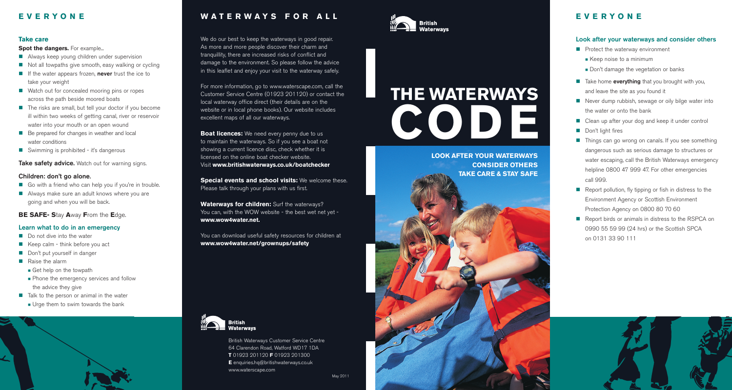# **E V E R Y O N E**

# **Take care**

**Spot the dangers.** For example...

- **Always keep young children under supervision**
- Not all towpaths give smooth, easy walking or cycling
- **If the water appears frozen, never trust the ice to** take your weight
- Watch out for concealed mooring pins or ropes across the path beside moored boats
- The risks are small, but tell your doctor if you become ill within two weeks of getting canal, river or reservoir water into your mouth or an open wound
- Be prepared for changes in weather and local water conditions
- **E** Swimming is prohibited it's dangerous

**Take safety advice.** Watch out for warning signs.

### **Children: don't go alone.**

- Go with a friend who can help you if you're in trouble.
- **E** Always make sure an adult knows where you are going and when you will be back.

# **BE SAFE- S**tay **A**way **F**rom the **E**dge.

### **Learn what to do in an emergency**

- **Do not dive into the water**
- Keep calm think before you act
- **Don't put yourself in danger**
- **Raise the alarm**
- **Get help on the towpath**
- **Phone the emergency services and follow** the advice they give
- **Talk to the person or animal in the water**
- **. Urge them to swim towards the bank**



# **W A T E R W A Y S F O R A L L**

We do our best to keep the waterways in good repair. As more and more people discover their charm and tranquillity, there are increased risks of conflict and damage to the environment. So please follow the advice in this leaflet and enjoy your visit to the waterway safely.

For more information, go to www.waterscape.com, call the Customer Service Centre (01923 201120) or contact the local waterway office direct (their details are on the website or in local phone books). Our website includes excellent maps of all our waterways.

**Boat licences:** We need every penny due to us to maintain the waterways. So if you see a boat not showing a current licence disc, check whether it is licensed on the online boat checker website. Visit **www.britishwaterways.co.uk/boatchecker**

**Special events and school visits:** We welcome these. Please talk through your plans with us first.

**Waterways for children:** Surf the waterways? You can, with the WOW website - the best wet net yet **www.wow4water.net.**

You can download useful safety resources for children at **www.wow4water.net/grownups/safety**



British Waterways Customer Service Centre 64 Clarendon Road, Watford WD17 1DA **T** 01923 201120 **F** 01923 201300 **E** enquiries.hq@britishwaterways.co.uk www.waterscape.com



# **THE WATERWAYS CODE**

**LOOK AFTER YOUR WATERWAYS CONSIDER OTHERS TAKE CARE & STAY SAFE**



# **E V E R Y O N E**

# **Look after your waterways and consider others**

- **Parable 2** Protect the waterway environment
- $\blacksquare$  Keep noise to a minimum
- Don't damage the vegetation or banks
- **Take home everything** that you brought with you, and leave the site as you found it
- **Never dump rubbish, sewage or oily bilge water into** the water or onto the bank
- Clean up after your dog and keep it under control
- **Don't light fires**
- **Things can go wrong on canals. If you see something** dangerous such as serious damage to structures or water escaping, call the British Waterways emergency helpline 0800 47 999 47. For other emergencies call 999.
- Report pollution, fly tipping or fish in distress to the Environment Agency or Scottish Environment Protection Agency on 0800 80 70 60
- Report birds or animals in distress to the RSPCA on 0990 55 59 99 (24 hrs) or the Scottish SPCA on 0131 33 90 111